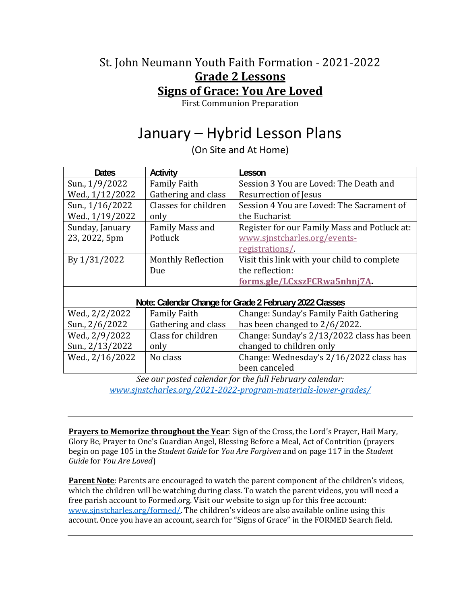## St. John Neumann Youth Faith Formation - 2021-2022 **Grade 2 Lessons Signs of Grace: You Are Loved**

First Communion Preparation

# January – Hybrid Lesson Plans

(On Site and At Home)

| <b>Dates</b>                                            | <b>Activity</b>           | Lesson                                       |
|---------------------------------------------------------|---------------------------|----------------------------------------------|
| Sun., 1/9/2022                                          | <b>Family Faith</b>       | Session 3 You are Loved: The Death and       |
| Wed., 1/12/2022                                         | Gathering and class       | Resurrection of Jesus                        |
| Sun., 1/16/2022                                         | Classes for children      | Session 4 You are Loved: The Sacrament of    |
| Wed., 1/19/2022                                         | only                      | the Eucharist                                |
| Sunday, January                                         | Family Mass and           | Register for our Family Mass and Potluck at: |
| 23, 2022, 5pm                                           | Potluck                   | www.sjnstcharles.org/events-                 |
|                                                         |                           | registrations/                               |
| By 1/31/2022                                            | <b>Monthly Reflection</b> | Visit this link with your child to complete  |
|                                                         | Due                       | the reflection:                              |
|                                                         |                           | forms.gle/LCxszFCRwa5nhnj7A.                 |
|                                                         |                           |                                              |
| Note: Calendar Change for Grade 2 February 2022 Classes |                           |                                              |
| Wed., 2/2/2022                                          | <b>Family Faith</b>       | Change: Sunday's Family Faith Gathering      |
| Sun., 2/6/2022                                          | Gathering and class       | has been changed to 2/6/2022.                |
| Wed., 2/9/2022                                          | Class for children        | Change: Sunday's 2/13/2022 class has been    |
| Sun., 2/13/2022                                         | only                      | changed to children only                     |
| Wed., 2/16/2022                                         | No class                  | Change: Wednesday's 2/16/2022 class has      |
|                                                         |                           | been canceled                                |

*See our posted calendar for the full February calendar: www.sjnstcharles.org/2021‐2022‐program‐materials‐lower‐grades/* 

**Prayers to Memorize throughout the Year**: Sign of the Cross, the Lord's Prayer, Hail Mary, Glory Be, Prayer to One's Guardian Angel, Blessing Before a Meal, Act of Contrition (prayers begin on page 105 in the *Student Guide* for *You Are Forgiven* and on page 117 in the *Student Guide* for *You Are Loved*)

**Parent Note**: Parents are encouraged to watch the parent component of the children's videos, which the children will be watching during class. To watch the parent videos, you will need a free parish account to Formed.org. Visit our website to sign up for this free account: www.sjnstcharles.org/formed/. The children's videos are also available online using this account. Once you have an account, search for "Signs of Grace" in the FORMED Search field.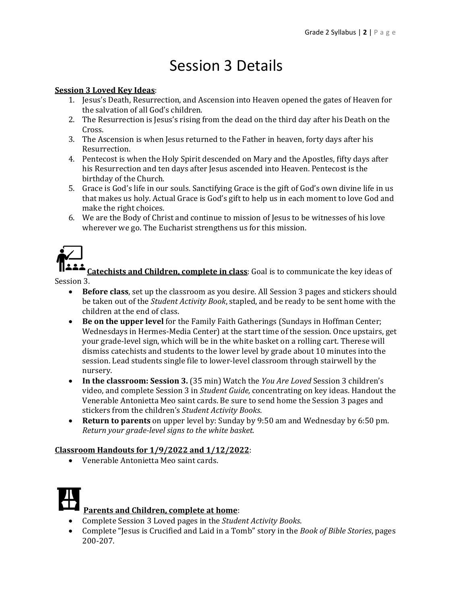# Session 3 Details

#### **Session 3 Loved Key Ideas**:

- 1. Jesus's Death, Resurrection, and Ascension into Heaven opened the gates of Heaven for the salvation of all God's children.
- 2. The Resurrection is Jesus's rising from the dead on the third day after his Death on the Cross.
- 3. The Ascension is when Jesus returned to the Father in heaven, forty days after his Resurrection.
- 4. Pentecost is when the Holy Spirit descended on Mary and the Apostles, fifty days after his Resurrection and ten days after Jesus ascended into Heaven. Pentecost is the birthday of the Church.
- 5. Grace is God's life in our souls. Sanctifying Grace is the gift of God's own divine life in us that makes us holy. Actual Grace is God's gift to help us in each moment to love God and make the right choices.
- 6. We are the Body of Christ and continue to mission of Jesus to be witnesses of his love wherever we go. The Eucharist strengthens us for this mission.



**Catechists and Children, complete in class**: Goal is to communicate the key ideas of Session 3.

- **Before class**, set up the classroom as you desire. All Session 3 pages and stickers should be taken out of the *Student Activity Book*, stapled, and be ready to be sent home with the children at the end of class.
- **Be on the upper level** for the Family Faith Gatherings (Sundays in Hoffman Center; Wednesdays in Hermes-Media Center) at the start time of the session. Once upstairs, get your grade-level sign, which will be in the white basket on a rolling cart. Therese will dismiss catechists and students to the lower level by grade about 10 minutes into the session. Lead students single file to lower-level classroom through stairwell by the nursery.
- **In the classroom: Session 3.** (35 min) Watch the *You Are Loved* Session 3 children's video, and complete Session 3 in *Student Guide,* concentrating on key ideas. Handout the Venerable Antonietta Meo saint cards. Be sure to send home the Session 3 pages and stickers from the children's *Student Activity Books*.
- **Return to parents** on upper level by: Sunday by 9:50 am and Wednesday by 6:50 pm. *Return your grade‐level signs to the white basket.*

#### **Classroom Handouts for 1/9/2022 and 1/12/2022**:

Venerable Antonietta Meo saint cards.



- Complete Session 3 Loved pages in the *Student Activity Books*.
- Complete "Jesus is Crucified and Laid in a Tomb" story in the *Book of Bible Stories*, pages 200-207.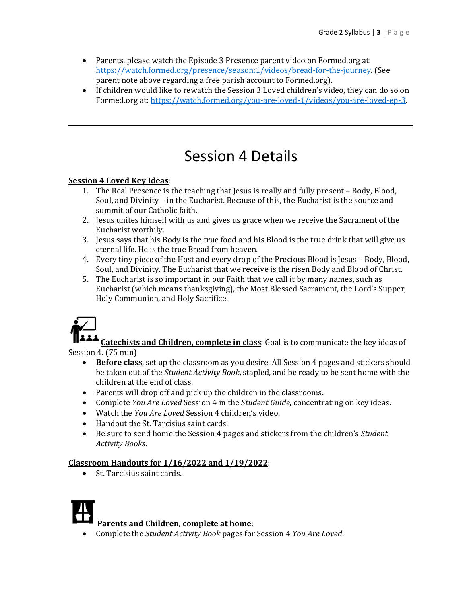- Parents, please watch the Episode 3 Presence parent video on Formed.org at: https://watch.formed.org/presence/season:1/videos/bread-for-the-journey. (See parent note above regarding a free parish account to Formed.org).
- If children would like to rewatch the Session 3 Loved children's video, they can do so on Formed.org at: https://watch.formed.org/you-are-loved-1/videos/you-are-loved-ep-3.

# Session 4 Details

### **Session 4 Loved Key Ideas**:

- 1. The Real Presence is the teaching that Jesus is really and fully present Body, Blood, Soul, and Divinity – in the Eucharist. Because of this, the Eucharist is the source and summit of our Catholic faith.
- 2. Jesus unites himself with us and gives us grace when we receive the Sacrament of the Eucharist worthily.
- 3. Jesus says that his Body is the true food and his Blood is the true drink that will give us eternal life. He is the true Bread from heaven.
- 4. Every tiny piece of the Host and every drop of the Precious Blood is Jesus Body, Blood, Soul, and Divinity. The Eucharist that we receive is the risen Body and Blood of Christ.
- 5. The Eucharist is so important in our Faith that we call it by many names, such as Eucharist (which means thanksgiving), the Most Blessed Sacrament, the Lord's Supper, Holy Communion, and Holy Sacrifice.



**Catechists and Children, complete in class**: Goal is to communicate the key ideas of Session 4. (75 min)

- **Before class**, set up the classroom as you desire. All Session 4 pages and stickers should be taken out of the *Student Activity Book*, stapled, and be ready to be sent home with the children at the end of class.
- Parents will drop off and pick up the children in the classrooms.
- Complete *You Are Loved* Session 4 in the *Student Guide,* concentrating on key ideas.
- Watch the *You Are Loved* Session 4 children's video.
- Handout the St. Tarcisius saint cards.
- Be sure to send home the Session 4 pages and stickers from the children's *Student Activity Books*.

### **Classroom Handouts for 1/16/2022 and 1/19/2022**:

St. Tarcisius saint cards.



### **Parents and Children, complete at home**:

Complete the *Student Activity Book* pages for Session 4 *You Are Loved*.